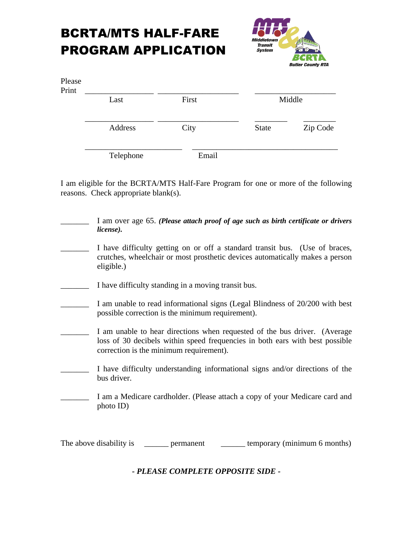## BCRTA/MTS HALF-FARE PROGRAM APPLICATION



| Please<br>Print | Last      | First | Middle       |          |
|-----------------|-----------|-------|--------------|----------|
|                 | Address   | City  | <b>State</b> | Zip Code |
|                 | Telephone | Email |              |          |

I am eligible for the BCRTA/MTS Half-Fare Program for one or more of the following reasons. Check appropriate blank(s).

\_\_\_\_\_\_\_ I am over age 65. *(Please attach proof of age such as birth certificate or drivers license).* I have difficulty getting on or off a standard transit bus. (Use of braces, crutches, wheelchair or most prosthetic devices automatically makes a person eligible.) \_\_\_\_\_\_\_ I have difficulty standing in a moving transit bus. \_\_\_\_\_\_\_ I am unable to read informational signs (Legal Blindness of 20/200 with best possible correction is the minimum requirement). I am unable to hear directions when requested of the bus driver. (Average loss of 30 decibels within speed frequencies in both ears with best possible correction is the minimum requirement). I have difficulty understanding informational signs and/or directions of the bus driver. I am a Medicare cardholder. (Please attach a copy of your Medicare card and photo ID)

The above disability is \_\_\_\_\_\_\_ permanent \_\_\_\_\_\_\_ temporary (minimum 6 months)

*- PLEASE COMPLETE OPPOSITE SIDE -*